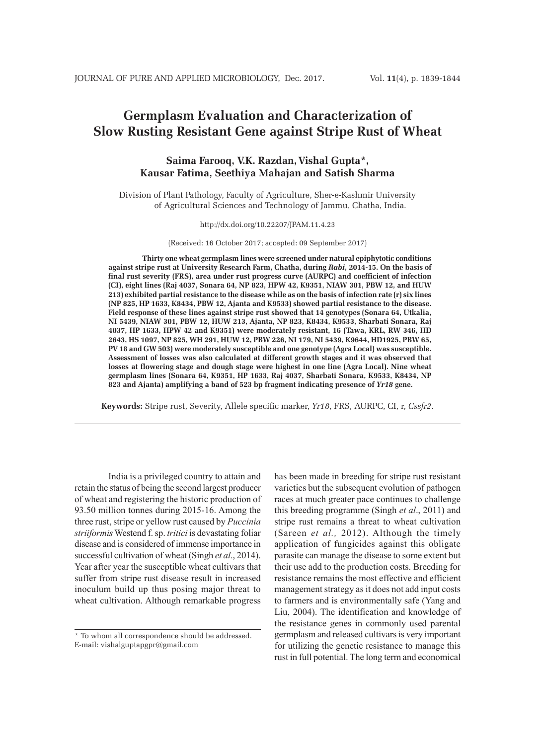# **Germplasm Evaluation and Characterization of Slow Rusting Resistant Gene against Stripe Rust of Wheat**

## **Saima Farooq, V.K. Razdan,Vishal Gupta\*, Kausar Fatima, Seethiya Mahajan and Satish Sharma**

Division of Plant Pathology, Faculty of Agriculture, Sher-e-Kashmir University of Agricultural Sciences and Technology of Jammu, Chatha, India.

#### http://dx.doi.org/10.22207/JPAM.11.4.23

(Received: 16 October 2017; accepted: 09 September 2017)

**Thirty one wheat germplasm lines were screened under natural epiphytotic conditions against stripe rust at University Research Farm, Chatha, during** *Rabi***, 2014-15. On the basis of final rust severity (FRS), area under rust progress curve (AURPC) and coefficient of infection (CI), eight lines (Raj 4037, Sonara 64, NP 823, HPW 42, K9351, NIAW 301, PBW 12, and HUW 213) exhibited partial resistance to the disease while as on the basis of infection rate (r) six lines (NP 825, HP 1633, K8434, PBW 12, Ajanta and K9533) showed partial resistance to the disease. Field response of these lines against stripe rust showed that 14 genotypes (Sonara 64, Utkalia, NI 5439, NIAW 301, PBW 12, HUW 213, Ajanta, NP 823, K8434, K9533, Sharbati Sonara, Raj 4037, HP 1633, HPW 42 and K9351) were moderately resistant, 16 (Tawa, KRL, RW 346, HD 2643, HS 1097, NP 825, WH 291, HUW 12, PBW 226, NI 179, NI 5439, K9644, HD1925, PBW 65, PV 18 and GW 503) were moderately susceptible and one genotype (Agra Local) was susceptible. Assessment of losses was also calculated at different growth stages and it was observed that losses at flowering stage and dough stage were highest in one line (Agra Local). Nine wheat germplasm lines (Sonara 64, K9351, HP 1633, Raj 4037, Sharbati Sonara, K9533, K8434, NP 823 and Ajanta) amplifying a band of 523 bp fragment indicating presence of** *Yr18* **gene.** 

**Keywords:** Stripe rust, Severity, Allele specific marker, *Yr18*, FRS, AURPC, CI, r, *Cssfr2*.

India is a privileged country to attain and retain the status of being the second largest producer of wheat and registering the historic production of 93.50 million tonnes during 2015-16. Among the three rust, stripe or yellow rust caused by *Puccinia striiformis* Westend f. sp. *tritici* is devastating foliar disease and is considered of immense importance in successful cultivation of wheat (Singh *et al*., 2014). Year after year the susceptible wheat cultivars that suffer from stripe rust disease result in increased inoculum build up thus posing major threat to wheat cultivation. Although remarkable progress

has been made in breeding for stripe rust resistant varieties but the subsequent evolution of pathogen races at much greater pace continues to challenge this breeding programme (Singh *et al*., 2011) and stripe rust remains a threat to wheat cultivation (Sareen *et al.,* 2012). Although the timely application of fungicides against this obligate parasite can manage the disease to some extent but their use add to the production costs. Breeding for resistance remains the most effective and efficient management strategy as it does not add input costs to farmers and is environmentally safe (Yang and Liu, 2004). The identification and knowledge of the resistance genes in commonly used parental germplasm and released cultivars is very important for utilizing the genetic resistance to manage this rust in full potential. The long term and economical

<sup>\*</sup> To whom all correspondence should be addressed. E-mail: vishalguptapgpr@gmail.com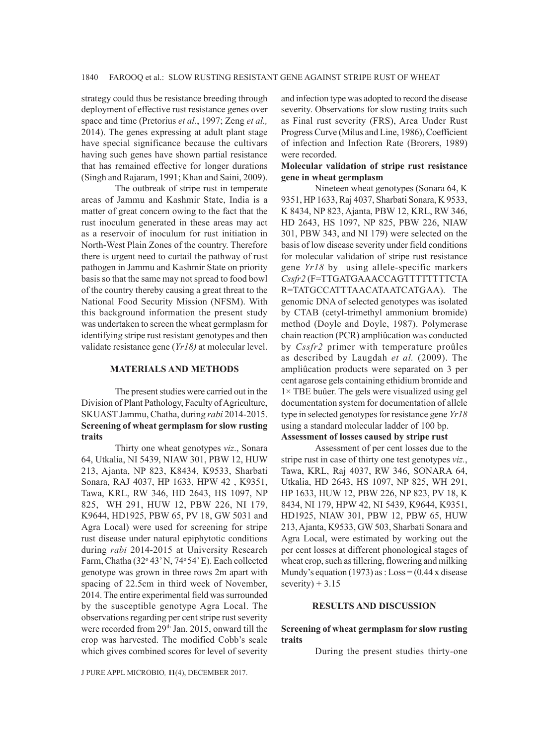strategy could thus be resistance breeding through deployment of effective rust resistance genes over space and time (Pretorius *et al.*, 1997; Zeng *et al.,*  2014). The genes expressing at adult plant stage have special significance because the cultivars having such genes have shown partial resistance that has remained effective for longer durations (Singh and Rajaram, 1991; Khan and Saini, 2009).

The outbreak of stripe rust in temperate areas of Jammu and Kashmir State, India is a matter of great concern owing to the fact that the rust inoculum generated in these areas may act as a reservoir of inoculum for rust initiation in North-West Plain Zones of the country. Therefore there is urgent need to curtail the pathway of rust pathogen in Jammu and Kashmir State on priority basis so that the same may not spread to food bowl of the country thereby causing a great threat to the National Food Security Mission (NFSM). With this background information the present study was undertaken to screen the wheat germplasm for identifying stripe rust resistant genotypes and then validate resistance gene (*Yr18)* at molecular level.

### **MATERIALS AND METHODS**

The present studies were carried out in the Division of Plant Pathology, Faculty of Agriculture, SKUAST Jammu, Chatha, during *rabi* 2014-2015. **Screening of wheat germplasm for slow rusting traits**

Thirty one wheat genotypes *viz*., Sonara 64, Utkalia, NI 5439, NIAW 301, PBW 12, HUW 213, Ajanta, NP 823, K8434, K9533, Sharbati Sonara, RAJ 4037, HP 1633, HPW 42 , K9351, Tawa, KRL, RW 346, HD 2643, HS 1097, NP 825, WH 291, HUW 12, PBW 226, NI 179, K9644, HD1925, PBW 65, PV 18, GW 5031 and Agra Local) were used for screening for stripe rust disease under natural epiphytotic conditions during *rabi* 2014-2015 at University Research Farm, Chatha (32° 43' N, 74° 54' E). Each collected genotype was grown in three rows 2m apart with spacing of 22.5cm in third week of November, 2014. The entire experimental field was surrounded by the susceptible genotype Agra Local. The observations regarding per cent stripe rust severity were recorded from 29<sup>th</sup> Jan. 2015, onward till the crop was harvested. The modified Cobb's scale which gives combined scores for level of severity

and infection type was adopted to record the disease severity. Observations for slow rusting traits such as Final rust severity (FRS), Area Under Rust Progress Curve (Milus and Line, 1986), Coefficient of infection and Infection Rate (Brorers, 1989) were recorded.

## **Molecular validation of stripe rust resistance gene in wheat germplasm**

Nineteen wheat genotypes (Sonara 64, K 9351, HP 1633, Raj 4037, Sharbati Sonara, K 9533, K 8434, NP 823, Ajanta, PBW 12, KRL, RW 346, HD 2643, HS 1097, NP 825, PBW 226, NIAW 301, PBW 343, and NI 179) were selected on the basis of low disease severity under field conditions for molecular validation of stripe rust resistance gene *Yr18* by using allele-specific markers *Cssfr2* (F=TTGATGAAACCAGTTTTTTTTCTA R=TATGCCATTTAACATAATCATGAA). The genomic DNA of selected genotypes was isolated by CTAB (cetyl-trimethyl ammonium bromide) method (Doyle and Doyle, 1987). Polymerase chain reaction (PCR) ampliûcation was conducted by *Cssfr2* primer with temperature proûles as described by Laugdah *et al.* (2009). The ampliûcation products were separated on 3 per cent agarose gels containing ethidium bromide and  $1 \times$  TBE buûer. The gels were visualized using gel documentation system for documentation of allele type in selected genotypes for resistance gene *Yr18* using a standard molecular ladder of 100 bp. **Assessment of losses caused by stripe rust** 

Assessment of per cent losses due to the stripe rust in case of thirty one test genotypes *viz.*, Tawa, KRL, Raj 4037, RW 346, SONARA 64, Utkalia, HD 2643, HS 1097, NP 825, WH 291, HP 1633, HUW 12, PBW 226, NP 823, PV 18, K 8434, NI 179, HPW 42, NI 5439, K9644, K9351, HD1925, NIAW 301, PBW 12, PBW 65, HUW 213, Ajanta, K9533, GW 503, Sharbati Sonara and Agra Local, were estimated by working out the per cent losses at different phonological stages of wheat crop, such as tillering, flowering and milking Mundy's equation (1973) as :  $Loss = (0.44 \times disease)$ severity)  $+3.15$ 

## **RESULTS AND DISCUSSION**

## **Screening of wheat germplasm for slow rusting traits**

During the present studies thirty-one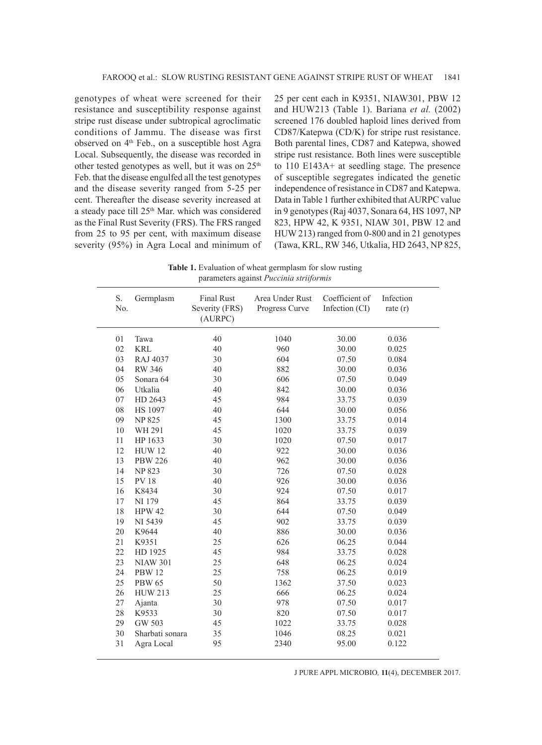genotypes of wheat were screened for their resistance and susceptibility response against stripe rust disease under subtropical agroclimatic conditions of Jammu. The disease was first observed on 4<sup>th</sup> Feb., on a susceptible host Agra Local. Subsequently, the disease was recorded in other tested genotypes as well, but it was on  $25<sup>th</sup>$ Feb. that the disease engulfed all the test genotypes and the disease severity ranged from 5-25 per cent. Thereafter the disease severity increased at a steady pace till 25<sup>th</sup> Mar. which was considered as the Final Rust Severity (FRS). The FRS ranged from 25 to 95 per cent, with maximum disease severity (95%) in Agra Local and minimum of 25 per cent each in K9351, NIAW301, PBW 12 and HUW213 (Table 1). Bariana *et al.* (2002) screened 176 doubled haploid lines derived from CD87/Katepwa (CD/K) for stripe rust resistance. Both parental lines, CD87 and Katepwa, showed stripe rust resistance. Both lines were susceptible to 110 E143A+ at seedling stage. The presence of susceptible segregates indicated the genetic independence of resistance in CD87 and Katepwa. Data in Table 1 further exhibited that AURPC value in 9 genotypes (Raj 4037, Sonara 64, HS 1097, NP 823, HPW 42, K 9351, NIAW 301, PBW 12 and HUW 213) ranged from 0-800 and in 21 genotypes (Tawa, KRL, RW 346, Utkalia, HD 2643, NP 825,

Table 1. Evaluation of wheat germplasm for slow rusting parameters against *Puccinia striiformis*

| S.<br>No. | Germplasm       | <b>Final Rust</b><br>Severity (FRS)<br>(AURPC) | Area Under Rust<br>Progress Curve | Coefficient of<br>Infection (CI) | Infection<br>rate $(r)$ |
|-----------|-----------------|------------------------------------------------|-----------------------------------|----------------------------------|-------------------------|
| 01        | Tawa            | 40                                             | 1040                              | 30.00                            | 0.036                   |
| 02        | <b>KRL</b>      | 40                                             | 960                               | 30.00                            | 0.025                   |
| 03        | RAJ 4037        | 30                                             | 604                               | 07.50                            | 0.084                   |
| 04        | <b>RW 346</b>   | 40                                             | 882                               | 30.00                            | 0.036                   |
| 05        | Sonara 64       | 30                                             | 606                               | 07.50                            | 0.049                   |
| 06        | Utkalia         | 40                                             | 842                               | 30.00                            | 0.036                   |
| 07        | HD 2643         | 45                                             | 984                               | 33.75                            | 0.039                   |
| 08        | <b>HS 1097</b>  | 40                                             | 644                               | 30.00                            | 0.056                   |
| 09        | <b>NP 825</b>   | 45                                             | 1300                              | 33.75                            | 0.014                   |
| 10        | WH 291          | 45                                             | 1020                              | 33.75                            | 0.039                   |
| 11        | HP 1633         | 30                                             | 1020                              | 07.50                            | 0.017                   |
| 12        | <b>HUW 12</b>   | 40                                             | 922                               | 30.00                            | 0.036                   |
| 13        | <b>PBW 226</b>  | 40                                             | 962                               | 30.00                            | 0.036                   |
| 14        | <b>NP 823</b>   | 30                                             | 726                               | 07.50                            | 0.028                   |
| 15        | <b>PV18</b>     | 40                                             | 926                               | 30.00                            | 0.036                   |
| 16        | K8434           | 30                                             | 924                               | 07.50                            | 0.017                   |
| 17        | NI 179          | 45                                             | 864                               | 33.75                            | 0.039                   |
| 18        | <b>HPW 42</b>   | 30                                             | 644                               | 07.50                            | 0.049                   |
| 19        | NI 5439         | 45                                             | 902                               | 33.75                            | 0.039                   |
| 20        | K9644           | 40                                             | 886                               | 30.00                            | 0.036                   |
| 21        | K9351           | 25                                             | 626                               | 06.25                            | 0.044                   |
| 22        | HD 1925         | 45                                             | 984                               | 33.75                            | 0.028                   |
| 23        | <b>NIAW 301</b> | 25                                             | 648                               | 06.25                            | 0.024                   |
| 24        | <b>PBW 12</b>   | 25                                             | 758                               | 06.25                            | 0.019                   |
| 25        | <b>PBW 65</b>   | 50                                             | 1362                              | 37.50                            | 0.023                   |
| 26        | <b>HUW 213</b>  | 25                                             | 666                               | 06.25                            | 0.024                   |
| 27        | Ajanta          | 30                                             | 978                               | 07.50                            | 0.017                   |
| 28        | K9533           | 30                                             | 820                               | 07.50                            | 0.017                   |
| 29        | GW 503          | 45                                             | 1022                              | 33.75                            | 0.028                   |
| 30        | Sharbati sonara | 35                                             | 1046                              | 08.25                            | 0.021                   |
| 31        | Agra Local      | 95                                             | 2340                              | 95.00                            | 0.122                   |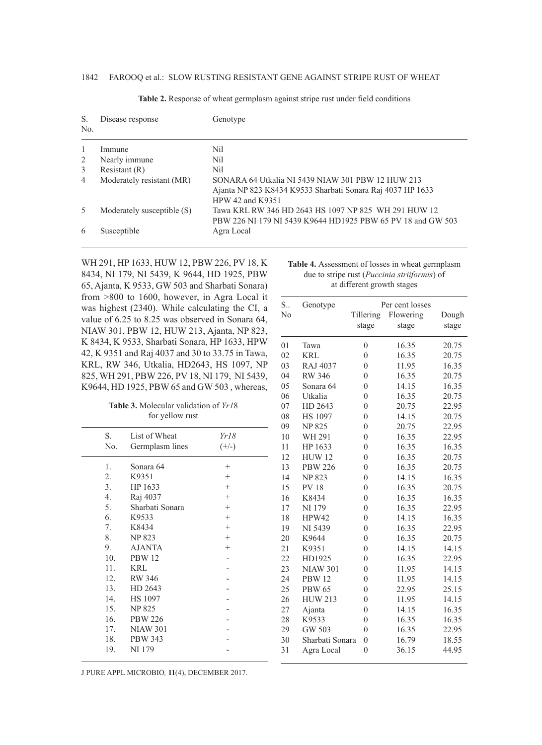| S.<br>N <sub>0</sub> | Disease response           | Genotype                                                                                                                            |
|----------------------|----------------------------|-------------------------------------------------------------------------------------------------------------------------------------|
| $\overline{1}$       | Immune                     | Nil                                                                                                                                 |
| 2                    | Nearly immune              | Nil                                                                                                                                 |
| 3                    | Resistant $(R)$            | Nil                                                                                                                                 |
| $\overline{4}$       | Moderately resistant (MR)  | SONARA 64 Utkalia NI 5439 NIAW 301 PBW 12 HUW 213<br>Ajanta NP 823 K8434 K9533 Sharbati Sonara Raj 4037 HP 1633<br>HPW 42 and K9351 |
| 5                    | Moderately susceptible (S) | Tawa KRL RW 346 HD 2643 HS 1097 NP 825 WH 291 HUW 12<br>PBW 226 NI 179 NI 5439 K9644 HD1925 PBW 65 PV 18 and GW 503                 |
| 6                    | Susceptible                | Agra Local                                                                                                                          |

**Table 2.** Response of wheat germplasm against stripe rust under field conditions

WH 291, HP 1633, HUW 12, PBW 226, PV 18, K 8434, NI 179, NI 5439, K 9644, HD 1925, PBW 65, Ajanta, K 9533, GW 503 and Sharbati Sonara) from >800 to 1600, however, in Agra Local it was highest (2340). While calculating the CI, a value of 6.25 to 8.25 was observed in Sonara 64, NIAW 301, PBW 12, HUW 213, Ajanta, NP 823, K 8434, K 9533, Sharbati Sonara, HP 1633, HPW 42, K 9351 and Raj 4037 and 30 to 33.75 in Tawa, KRL, RW 346, Utkalia, HD2643, HS 1097, NP 825, WH 291, PBW 226, PV 18, NI 179, NI 5439, K9644, HD 1925, PBW 65 and GW 503 , whereas,

**Table 3.** Molecular validation of *Yr1*8 for yellow rust

| S.              | List of Wheat   | Yr18    |  |
|-----------------|-----------------|---------|--|
| No.             | Germplasm lines | $(+/-)$ |  |
| 1.              | Sonara 64       | $^{+}$  |  |
| 2.              | K9351           | $^{+}$  |  |
| 3.              | HP 1633         | $^{+}$  |  |
| 4.              | Raj 4037        | $^{+}$  |  |
| 5.              | Sharbati Sonara | $^{+}$  |  |
| 6.              | K9533           | $^{+}$  |  |
| 7.              | K8434           | $^{+}$  |  |
| 8.              | <b>NP 823</b>   | $^{+}$  |  |
| 9.              | <b>AJANTA</b>   | $^{+}$  |  |
| 10 <sub>1</sub> | <b>PBW 12</b>   |         |  |
| 11.             | <b>KRL</b>      |         |  |
| 12.             | <b>RW 346</b>   |         |  |
| 13.             | HD 2643         |         |  |
| 14.             | <b>HS</b> 1097  |         |  |
| 15.             | <b>NP 825</b>   |         |  |
| 16.             | <b>PBW 226</b>  |         |  |
| 17.             | <b>NIAW 301</b> |         |  |
| 18.             | <b>PBW 343</b>  |         |  |
| 19.             | NI 179          |         |  |
|                 |                 |         |  |

**Table 4.** Assessment of losses in wheat germplasm due to stripe rust (*Puccinia striiformis*) of at different growth stages

| S<br>N <sub>0</sub> | Genotype             | Per cent losses<br>Flowering<br>Tillering<br>Dough |       |       |
|---------------------|----------------------|----------------------------------------------------|-------|-------|
|                     |                      | stage                                              | stage | stage |
| 01                  | Tawa                 | $\overline{0}$                                     | 16.35 | 20.75 |
| 02                  | <b>KRL</b>           | $\overline{0}$                                     | 16.35 | 20.75 |
| 03                  | RAJ 4037             | $\overline{0}$                                     | 11.95 | 16.35 |
| 04                  | <b>RW 346</b>        | $\theta$                                           | 16.35 | 20.75 |
| 05                  | Sonara <sub>64</sub> | $\overline{0}$                                     | 14.15 | 16.35 |
| 06                  | Utkalia              | $\theta$                                           | 16.35 | 20.75 |
| 07                  | HD 2643              | $\overline{0}$                                     | 20.75 | 22.95 |
| 08                  | <b>HS 1097</b>       | $\overline{0}$                                     | 14.15 | 20.75 |
| 09                  | <b>NP825</b>         | $\overline{0}$                                     | 20.75 | 22.95 |
| 10                  | WH 291               | $\overline{0}$                                     | 16.35 | 22.95 |
| 11                  | HP 1633              | $\overline{0}$                                     | 16.35 | 16.35 |
| 12                  | <b>HUW12</b>         | $\overline{0}$                                     | 16.35 | 20.75 |
| 13                  | <b>PBW 226</b>       | $\overline{0}$                                     | 16.35 | 20.75 |
| 14                  | <b>NP 823</b>        | $\overline{0}$                                     | 14.15 | 16.35 |
| 15                  | <b>PV18</b>          | $\theta$                                           | 16.35 | 20.75 |
| 16                  | K8434                | $\overline{0}$                                     | 16.35 | 16.35 |
| 17                  | NI 179               | $\overline{0}$                                     | 16.35 | 22.95 |
| 18                  | HPW42                | $\theta$                                           | 14.15 | 16.35 |
| 19                  | NI 5439              | $\overline{0}$                                     | 16.35 | 22.95 |
| 20                  | K9644                | $\overline{0}$                                     | 16.35 | 20.75 |
| 21                  | K9351                | $\overline{0}$                                     | 14.15 | 14.15 |
| 22                  | HD1925               | $\overline{0}$                                     | 16.35 | 22.95 |
| 23                  | <b>NIAW 301</b>      | $\overline{0}$                                     | 11.95 | 14.15 |
| 24                  | <b>PBW 12</b>        | $\overline{0}$                                     | 11.95 | 14.15 |
| 25                  | <b>PBW 65</b>        | $\overline{0}$                                     | 22.95 | 25.15 |
| 26                  | <b>HUW 213</b>       | $\overline{0}$                                     | 11.95 | 14.15 |
| 27                  | Ajanta               | $\overline{0}$                                     | 14.15 | 16.35 |
| 28                  | K9533                | $\overline{0}$                                     | 16.35 | 16.35 |
| 29                  | GW 503               | $\theta$                                           | 16.35 | 22.95 |
| 30                  | Sharbati Sonara      | $\overline{0}$                                     | 16.79 | 18.55 |
| 31                  | Agra Local           | $\overline{0}$                                     | 36.15 | 44.95 |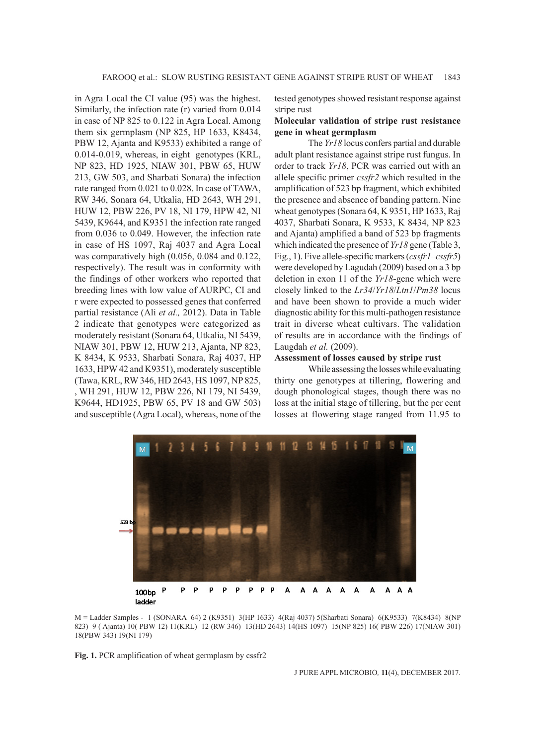in Agra Local the CI value (95) was the highest. Similarly, the infection rate (r) varied from 0.014 in case of NP 825 to 0.122 in Agra Local. Among them six germplasm (NP 825, HP 1633, K8434, PBW 12, Ajanta and K9533) exhibited a range of 0.014-0.019, whereas, in eight genotypes (KRL, NP 823, HD 1925, NIAW 301, PBW 65, HUW 213, GW 503, and Sharbati Sonara) the infection rate ranged from 0.021 to 0.028. In case of TAWA, RW 346, Sonara 64, Utkalia, HD 2643, WH 291, HUW 12, PBW 226, PV 18, NI 179, HPW 42, NI 5439, K9644, and K9351 the infection rate ranged from 0.036 to 0.049. However, the infection rate in case of HS 1097, Raj 4037 and Agra Local was comparatively high (0.056, 0.084 and 0.122, respectively). The result was in conformity with the findings of other workers who reported that breeding lines with low value of AURPC, CI and r were expected to possessed genes that conferred partial resistance (Ali *et al.,* 2012). Data in Table 2 indicate that genotypes were categorized as moderately resistant (Sonara 64, Utkalia, NI 5439, NIAW 301, PBW 12, HUW 213, Ajanta, NP 823, K 8434, K 9533, Sharbati Sonara, Raj 4037, HP 1633, HPW 42 and K9351), moderately susceptible (Tawa, KRL, RW 346, HD 2643, HS 1097, NP 825, , WH 291, HUW 12, PBW 226, NI 179, NI 5439, K9644, HD1925, PBW 65, PV 18 and GW 503) and susceptible (Agra Local), whereas, none of the

tested genotypes showed resistant response against stripe rust

## **Molecular validation of stripe rust resistance gene in wheat germplasm**

The *Yr18* locus confers partial and durable adult plant resistance against stripe rust fungus. In order to track *Yr18*, PCR was carried out with an allele specific primer *cssfr2* which resulted in the amplification of 523 bp fragment, which exhibited the presence and absence of banding pattern. Nine wheat genotypes (Sonara 64, K 9351, HP 1633, Raj 4037, Sharbati Sonara, K 9533, K 8434, NP 823 and Ajanta) amplified a band of 523 bp fragments which indicated the presence of *Yr18* gene (Table 3, Fig., 1). Five allele-specific markers (*cssfr1*–*cssfr5*) were developed by Lagudah (2009) based on a 3 bp deletion in exon 11 of the *Yr18*-gene which were closely linked to the *Lr34*/*Yr18*/*Ltn1*/*Pm38* locus and have been shown to provide a much wider diagnostic ability for this multi-pathogen resistance trait in diverse wheat cultivars. The validation of results are in accordance with the findings of Laugdah *et al.* (2009).

### **Assessment of losses caused by stripe rust**

While assessing the losses while evaluating thirty one genotypes at tillering, flowering and dough phonological stages, though there was no loss at the initial stage of tillering, but the per cent losses at flowering stage ranged from 11.95 to



M = Ladder Samples - 1 (SONARA 64) 2 (K9351) 3(HP 1633) 4(Raj 4037) 5(Sharbati Sonara) 6(K9533) 7(K8434) 8(NP 823) 9 ( Ajanta) 10( PBW 12) 11(KRL) 12 (RW 346) 13(HD 2643) 14(HS 1097) 15(NP 825) 16( PBW 226) 17(NIAW 301) 18(PBW 343) 19(NI 179)

**Fig. 1.** PCR amplification of wheat germplasm by cssfr2